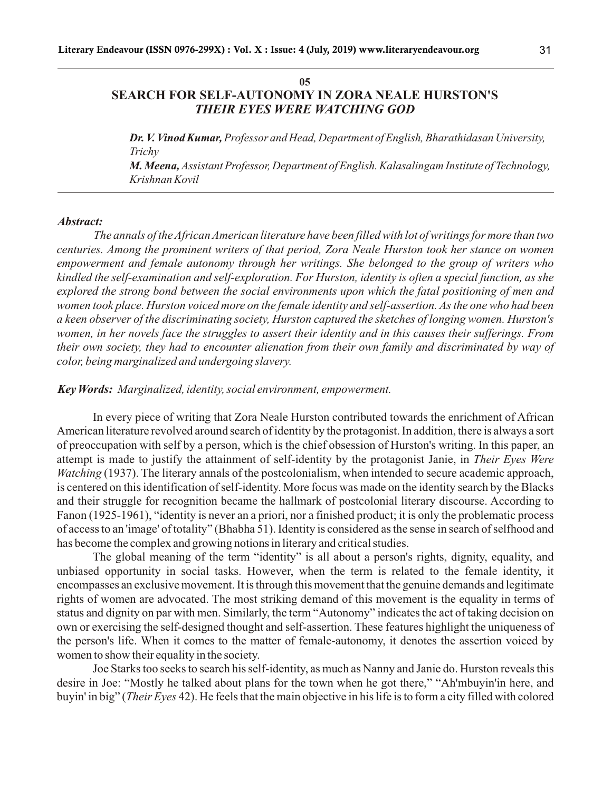### **05 SEARCH FOR SELF-AUTONOMY IN ZORA NEALE HURSTON'S**  *THEIR EYES WERE WATCHING GOD*

*Dr. V. Vinod Kumar, Professor and Head, Department of English, Bharathidasan University, Trichy M. Meena, Assistant Professor, Department of English. Kalasalingam Institute of Technology, Krishnan Kovil*

#### *Abstract:*

*The annals of the African American literature have been filled with lot of writings for more than two centuries. Among the prominent writers of that period, Zora Neale Hurston took her stance on women empowerment and female autonomy through her writings. She belonged to the group of writers who kindled the self-examination and self-exploration. For Hurston, identity is often a special function, as she explored the strong bond between the social environments upon which the fatal positioning of men and women took place. Hurston voiced more on the female identity and self-assertion. As the one who had been a keen observer of the discriminating society, Hurston captured the sketches of longing women. Hurston's women, in her novels face the struggles to assert their identity and in this causes their sufferings. From their own society, they had to encounter alienation from their own family and discriminated by way of color, being marginalized and undergoing slavery.* 

*Key Words: Marginalized, identity, social environment, empowerment.*

In every piece of writing that Zora Neale Hurston contributed towards the enrichment of African American literature revolved around search of identity by the protagonist. In addition, there is always a sort of preoccupation with self by a person, which is the chief obsession of Hurston's writing. In this paper, an attempt is made to justify the attainment of self-identity by the protagonist Janie, in *Their Eyes Were Watching* (1937). The literary annals of the postcolonialism, when intended to secure academic approach, is centered on this identification of self-identity. More focus was made on the identity search by the Blacks and their struggle for recognition became the hallmark of postcolonial literary discourse. According to Fanon (1925-1961), "identity is never an a priori, nor a finished product; it is only the problematic process of access to an 'image' of totality" (Bhabha 51). Identity is considered as the sense in search of selfhood and has become the complex and growing notions in literary and critical studies.

The global meaning of the term "identity" is all about a person's rights, dignity, equality, and unbiased opportunity in social tasks. However, when the term is related to the female identity, it encompasses an exclusive movement. It is through this movement that the genuine demands and legitimate rights of women are advocated. The most striking demand of this movement is the equality in terms of status and dignity on par with men. Similarly, the term "Autonomy" indicates the act of taking decision on own or exercising the self-designed thought and self-assertion. These features highlight the uniqueness of the person's life. When it comes to the matter of female-autonomy, it denotes the assertion voiced by women to show their equality in the society.

Joe Starks too seeks to search his self-identity, as much as Nanny and Janie do. Hurston reveals this desire in Joe: "Mostly he talked about plans for the town when he got there," "Ah'mbuyin'in here, and buyin' in big" (*Their Eyes* 42). He feels that the main objective in his life is to form a city filled with colored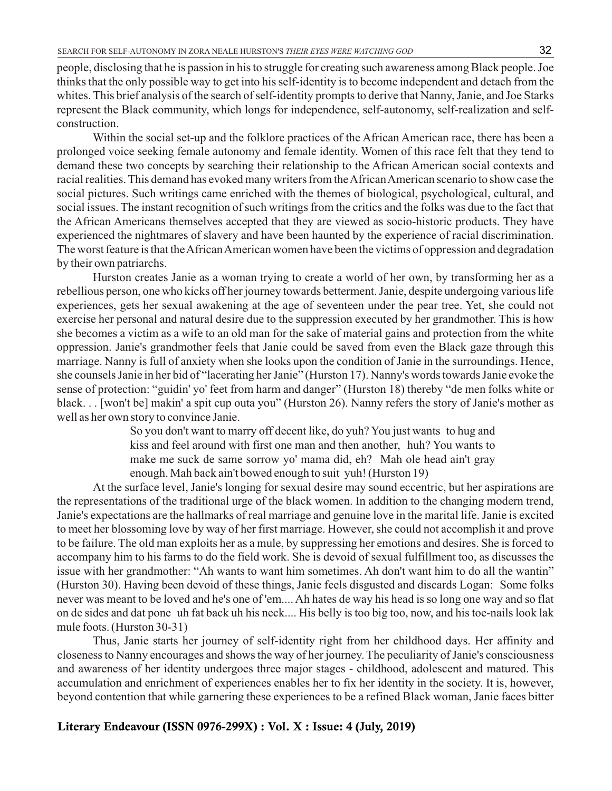people, disclosing that he is passion in his to struggle for creating such awareness among Black people. Joe thinks that the only possible way to get into his self-identity is to become independent and detach from the whites. This brief analysis of the search of self-identity prompts to derive that Nanny, Janie, and Joe Starks represent the Black community, which longs for independence, self-autonomy, self-realization and selfconstruction.

Within the social set-up and the folklore practices of the African American race, there has been a prolonged voice seeking female autonomy and female identity. Women of this race felt that they tend to demand these two concepts by searching their relationship to the African American social contexts and racial realities. This demand has evoked many writers from the African American scenario to show case the social pictures. Such writings came enriched with the themes of biological, psychological, cultural, and social issues. The instant recognition of such writings from the critics and the folks was due to the fact that the African Americans themselves accepted that they are viewed as socio-historic products. They have experienced the nightmares of slavery and have been haunted by the experience of racial discrimination. The worst feature is that the African American women have been the victims of oppression and degradation by their own patriarchs.

Hurston creates Janie as a woman trying to create a world of her own, by transforming her as a rebellious person, one who kicks off her journey towards betterment. Janie, despite undergoing various life experiences, gets her sexual awakening at the age of seventeen under the pear tree. Yet, she could not exercise her personal and natural desire due to the suppression executed by her grandmother. This is how she becomes a victim as a wife to an old man for the sake of material gains and protection from the white oppression. Janie's grandmother feels that Janie could be saved from even the Black gaze through this marriage. Nanny is full of anxiety when she looks upon the condition of Janie in the surroundings. Hence, she counsels Janie in her bid of "lacerating her Janie" (Hurston 17). Nanny's words towards Janie evoke the sense of protection: "guidin' yo' feet from harm and danger" (Hurston 18) thereby "de men folks white or black. . . [won't be] makin' a spit cup outa you" (Hurston 26). Nanny refers the story of Janie's mother as well as her own story to convince Janie.

> So you don't want to marry off decent like, do yuh? You just wants to hug and kiss and feel around with first one man and then another, huh? You wants to make me suck de same sorrow yo' mama did, eh? Mah ole head ain't gray enough. Mah back ain't bowed enough to suit yuh! (Hurston 19)

At the surface level, Janie's longing for sexual desire may sound eccentric, but her aspirations are the representations of the traditional urge of the black women. In addition to the changing modern trend, Janie's expectations are the hallmarks of real marriage and genuine love in the marital life. Janie is excited to meet her blossoming love by way of her first marriage. However, she could not accomplish it and prove to be failure. The old man exploits her as a mule, by suppressing her emotions and desires. She is forced to accompany him to his farms to do the field work. She is devoid of sexual fulfillment too, as discusses the issue with her grandmother: "Ah wants to want him sometimes. Ah don't want him to do all the wantin" (Hurston 30). Having been devoid of these things, Janie feels disgusted and discards Logan: Some folks never was meant to be loved and he's one of 'em.... Ah hates de way his head is so long one way and so flat on de sides and dat pone uh fat back uh his neck.... His belly is too big too, now, and his toe-nails look lak mule foots. (Hurston 30-31)

Thus, Janie starts her journey of self-identity right from her childhood days. Her affinity and closeness to Nanny encourages and shows the way of her journey. The peculiarity of Janie's consciousness and awareness of her identity undergoes three major stages - childhood, adolescent and matured. This accumulation and enrichment of experiences enables her to fix her identity in the society. It is, however, beyond contention that while garnering these experiences to be a refined Black woman, Janie faces bitter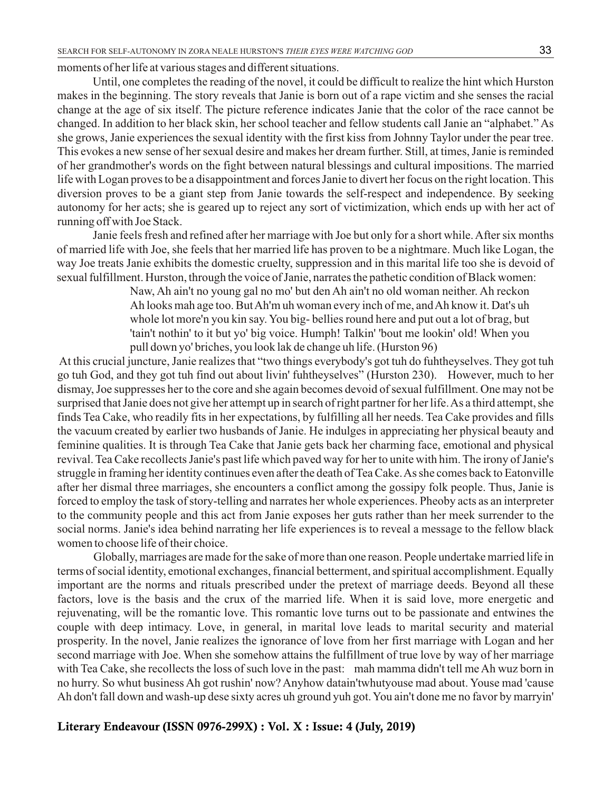moments of her life at various stages and different situations.

Until, one completes the reading of the novel, it could be difficult to realize the hint which Hurston makes in the beginning. The story reveals that Janie is born out of a rape victim and she senses the racial change at the age of six itself. The picture reference indicates Janie that the color of the race cannot be changed. In addition to her black skin, her school teacher and fellow students call Janie an "alphabet." As she grows, Janie experiences the sexual identity with the first kiss from Johnny Taylor under the pear tree. This evokes a new sense of her sexual desire and makes her dream further. Still, at times, Janie is reminded of her grandmother's words on the fight between natural blessings and cultural impositions. The married life with Logan proves to be a disappointment and forces Janie to divert her focus on the right location. This diversion proves to be a giant step from Janie towards the self-respect and independence. By seeking autonomy for her acts; she is geared up to reject any sort of victimization, which ends up with her act of running off with Joe Stack.

Janie feels fresh and refined after her marriage with Joe but only for a short while. After six months of married life with Joe, she feels that her married life has proven to be a nightmare. Much like Logan, the way Joe treats Janie exhibits the domestic cruelty, suppression and in this marital life too she is devoid of sexual fulfillment. Hurston, through the voice of Janie, narrates the pathetic condition of Black women:

> Naw, Ah ain't no young gal no mo' but den Ah ain't no old woman neither. Ah reckon Ah looks mah age too. But Ah'm uh woman every inch of me, and Ah know it. Dat's uh whole lot more'n you kin say. You big- bellies round here and put out a lot of brag, but 'tain't nothin' to it but yo' big voice. Humph! Talkin' 'bout me lookin' old! When you pull down yo' briches, you look lak de change uh life. (Hurston 96)

At this crucial juncture, Janie realizes that "two things everybody's got tuh do fuhtheyselves. They got tuh go tuh God, and they got tuh find out about livin' fuhtheyselves" (Hurston 230). However, much to her dismay, Joe suppresses her to the core and she again becomes devoid of sexual fulfillment. One may not be surprised that Janie does not give her attempt up in search of right partner for her life. As a third attempt, she finds Tea Cake, who readily fits in her expectations, by fulfilling all her needs. Tea Cake provides and fills the vacuum created by earlier two husbands of Janie. He indulges in appreciating her physical beauty and feminine qualities. It is through Tea Cake that Janie gets back her charming face, emotional and physical revival. Tea Cake recollects Janie's past life which paved way for her to unite with him. The irony of Janie's struggle in framing her identity continues even after the death of Tea Cake. As she comes back to Eatonville after her dismal three marriages, she encounters a conflict among the gossipy folk people. Thus, Janie is forced to employ the task of story-telling and narrates her whole experiences. Pheoby acts as an interpreter to the community people and this act from Janie exposes her guts rather than her meek surrender to the social norms. Janie's idea behind narrating her life experiences is to reveal a message to the fellow black women to choose life of their choice.

Globally, marriages are made for the sake of more than one reason. People undertake married life in terms of social identity, emotional exchanges, financial betterment, and spiritual accomplishment. Equally important are the norms and rituals prescribed under the pretext of marriage deeds. Beyond all these factors, love is the basis and the crux of the married life. When it is said love, more energetic and rejuvenating, will be the romantic love. This romantic love turns out to be passionate and entwines the couple with deep intimacy. Love, in general, in marital love leads to marital security and material prosperity. In the novel, Janie realizes the ignorance of love from her first marriage with Logan and her second marriage with Joe. When she somehow attains the fulfillment of true love by way of her marriage with Tea Cake, she recollects the loss of such love in the past: mah mamma didn't tell me Ah wuz born in no hurry. So whut business Ah got rushin' now? Anyhow datain'twhutyouse mad about. Youse mad 'cause Ah don't fall down and wash-up dese sixty acres uh ground yuh got. You ain't done me no favor by marryin'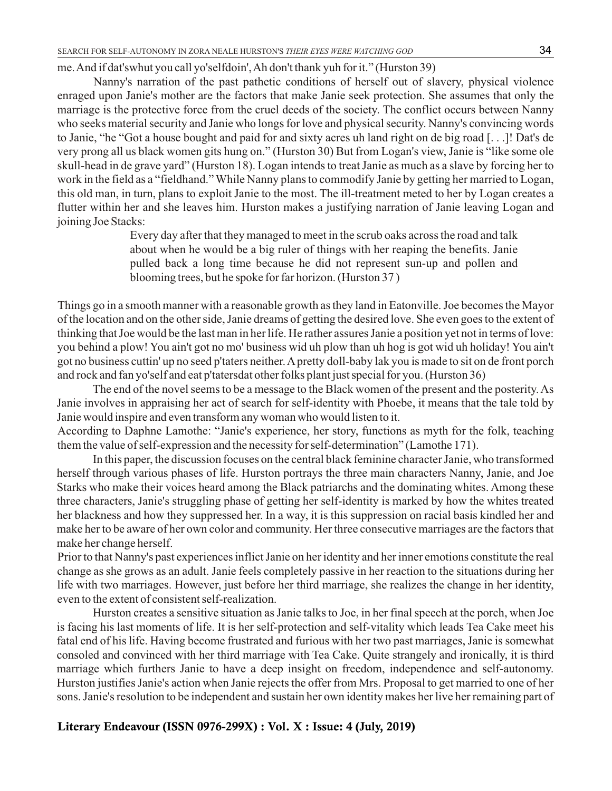me. And if dat'swhut you call yo'selfdoin', Ah don't thank yuh for it." (Hurston 39)

Nanny's narration of the past pathetic conditions of herself out of slavery, physical violence enraged upon Janie's mother are the factors that make Janie seek protection. She assumes that only the marriage is the protective force from the cruel deeds of the society. The conflict occurs between Nanny who seeks material security and Janie who longs for love and physical security. Nanny's convincing words to Janie, "he "Got a house bought and paid for and sixty acres uh land right on de big road [. . .]! Dat's de very prong all us black women gits hung on." (Hurston 30) But from Logan's view, Janie is "like some ole skull-head in de grave yard" (Hurston 18). Logan intends to treat Janie as much as a slave by forcing her to work in the field as a "fieldhand." While Nanny plans to commodify Janie by getting her married to Logan, this old man, in turn, plans to exploit Janie to the most. The ill-treatment meted to her by Logan creates a flutter within her and she leaves him. Hurston makes a justifying narration of Janie leaving Logan and joining Joe Stacks:

> Every day after that they managed to meet in the scrub oaks across the road and talk about when he would be a big ruler of things with her reaping the benefits. Janie pulled back a long time because he did not represent sun-up and pollen and blooming trees, but he spoke for far horizon. (Hurston 37 )

Things go in a smooth manner with a reasonable growth as they land in Eatonville. Joe becomes the Mayor of the location and on the other side, Janie dreams of getting the desired love. She even goes to the extent of thinking that Joe would be the last man in her life. He rather assures Janie a position yet not in terms of love: you behind a plow! You ain't got no mo' business wid uh plow than uh hog is got wid uh holiday! You ain't got no business cuttin' up no seed p'taters neither. Apretty doll-baby lak you is made to sit on de front porch and rock and fan yo'self and eat p'tatersdat other folks plant just special for you. (Hurston 36)

The end of the novel seems to be a message to the Black women of the present and the posterity. As Janie involves in appraising her act of search for self-identity with Phoebe, it means that the tale told by Janie would inspire and even transform any woman who would listen to it.

According to Daphne Lamothe: "Janie's experience, her story, functions as myth for the folk, teaching them the value of self-expression and the necessity for self-determination" (Lamothe 171).

In this paper, the discussion focuses on the central black feminine character Janie, who transformed herself through various phases of life. Hurston portrays the three main characters Nanny, Janie, and Joe Starks who make their voices heard among the Black patriarchs and the dominating whites. Among these three characters, Janie's struggling phase of getting her self-identity is marked by how the whites treated her blackness and how they suppressed her. In a way, it is this suppression on racial basis kindled her and make her to be aware of her own color and community. Her three consecutive marriages are the factors that make her change herself.

Prior to that Nanny's past experiences inflict Janie on her identity and her inner emotions constitute the real change as she grows as an adult. Janie feels completely passive in her reaction to the situations during her life with two marriages. However, just before her third marriage, she realizes the change in her identity, even to the extent of consistent self-realization.

Hurston creates a sensitive situation as Janie talks to Joe, in her final speech at the porch, when Joe is facing his last moments of life. It is her self-protection and self-vitality which leads Tea Cake meet his fatal end of his life. Having become frustrated and furious with her two past marriages, Janie is somewhat consoled and convinced with her third marriage with Tea Cake. Quite strangely and ironically, it is third marriage which furthers Janie to have a deep insight on freedom, independence and self-autonomy. Hurston justifies Janie's action when Janie rejects the offer from Mrs. Proposal to get married to one of her sons. Janie's resolution to be independent and sustain her own identity makes her live her remaining part of